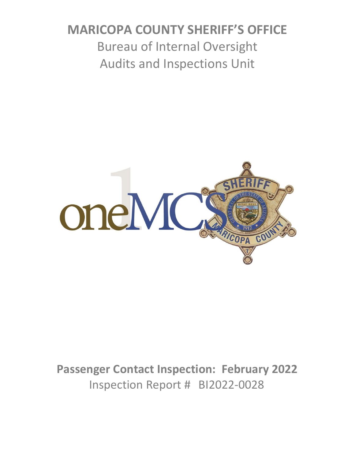# **MARICOPA COUNTY SHERIFF'S OFFICE** Bureau of Internal Oversight Audits and Inspections Unit



**Passenger Contact Inspection: February 2022** Inspection Report # BI2022-0028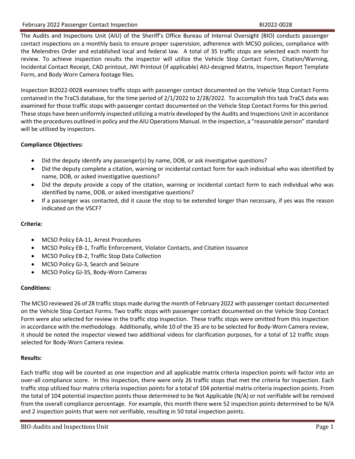The Audits and Inspections Unit (AIU) of the Sheriff's Office Bureau of Internal Oversight (BIO) conducts passenger contact inspections on a monthly basis to ensure proper supervision, adherence with MCSO policies, compliance with the Melendres Order and established local and federal law. A total of 35 traffic stops are selected each month for review. To achieve inspection results the inspector will utilize the Vehicle Stop Contact Form, Citation/Warning, Incidental Contact Receipt, CAD printout, JWI Printout (if applicable) AIU-designed Matrix, Inspection Report Template Form, and Body Worn Camera footage files.

Inspection BI2022-0028 examines traffic stops with passenger contact documented on the Vehicle Stop Contact Forms contained in the TraCS database, for the time period of 2/1/2022 to 2/28/2022. To accomplish this task TraCS data was examined for those traffic stops with passenger contact documented on the Vehicle Stop Contact Forms for this period. These stops have been uniformly inspected utilizing a matrix developed by the Audits and Inspections Unit in accordance with the procedures outlined in policy and the AIU Operations Manual. In the inspection, a "reasonable person" standard will be utilized by inspectors.

### **Compliance Objectives:**

- Did the deputy identify any passenger(s) by name, DOB, or ask investigative questions?
- Did the deputy complete a citation, warning or incidental contact form for each individual who was identified by name, DOB, or asked investigative questions?
- Did the deputy provide a copy of the citation, warning or incidental contact form to each individual who was identified by name, DOB, or asked investigative questions?
- If a passenger was contacted, did it cause the stop to be extended longer than necessary, if yes was the reason indicated on the VSCF?

## **Criteria:**

- MCSO Policy EA-11, Arrest Procedures
- MCSO Policy EB-1, Traffic Enforcement, Violator Contacts, and Citation Issuance
- MCSO Policy EB-2, Traffic Stop Data Collection
- MCSO Policy GJ-3, Search and Seizure
- MCSO Policy GJ-35, Body-Worn Cameras

#### **Conditions:**

The MCSO reviewed 26 of 28 traffic stops made during the month of February 2022 with passenger contact documented on the Vehicle Stop Contact Forms. Two traffic stops with passenger contact documented on the Vehicle Stop Contact Form were also selected for review in the traffic stop inspection. These traffic stops were omitted from this inspection in accordance with the methodology. Additionally, while 10 of the 35 are to be selected for Body-Worn Camera review, it should be noted the inspector viewed two additional videos for clarification purposes, for a total of 12 traffic stops selected for Body-Worn Camera review.

#### **Results:**

Each traffic stop will be counted as one inspection and all applicable matrix criteria inspection points will factor into an over-all compliance score. In this inspection, there were only 26 traffic stops that met the criteria for inspection. Each traffic stop utilized four matrix criteria inspection points for a total of 104 potential matrix criteria inspection points. From the total of 104 potential inspection points those determined to be Not Applicable (N/A) or not verifiable will be removed from the overall compliance percentage. For example, this month there were 52 inspection points determined to be N/A and 2 inspection points that were not verifiable, resulting in 50 total inspection points.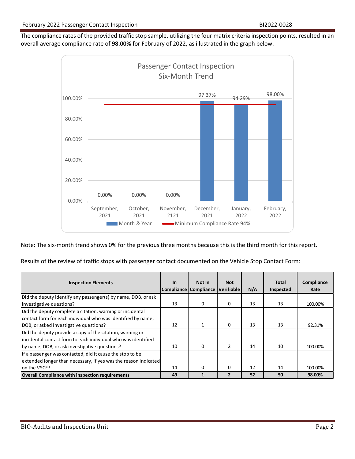The compliance rates of the provided traffic stop sample, utilizing the four matrix criteria inspection points, resulted in an overall average compliance rate of **98.00%** for February of 2022, as illustrated in the graph below.



Note: The six-month trend shows 0% for the previous three months because this is the third month for this report.

Results of the review of traffic stops with passenger contact documented on the Vehicle Stop Contact Form:

| <b>Inspection Elements</b>                                                                                                                                                   | <b>In</b> | Not In<br>Compliance Compliance Verifiable | <b>Not</b>               | N/A | Total<br>Inspected | Compliance<br>Rate |
|------------------------------------------------------------------------------------------------------------------------------------------------------------------------------|-----------|--------------------------------------------|--------------------------|-----|--------------------|--------------------|
| Did the deputy identify any passenger(s) by name, DOB, or ask<br>investigative questions?                                                                                    | 13        | 0                                          | 0                        | 13  | 13                 | 100.00%            |
| Did the deputy complete a citation, warning or incidental<br>contact form for each individual who was identified by name,<br>DOB, or asked investigative questions?          | 12        |                                            | $\Omega$                 | 13  | 13                 | 92.31%             |
| Did the deputy provide a copy of the citation, warning or<br>lincidental contact form to each individual who was identified<br>by name, DOB, or ask investigative questions? | 10        | 0                                          | $\overline{2}$           | 14  | 10                 | 100.00%            |
| If a passenger was contacted, did it cause the stop to be<br>extended longer than necessary, if yes was the reason indicated<br>on the VSCF?                                 | 14        | $\Omega$                                   | $\Omega$                 | 12  | 14                 | 100.00%            |
| <b>Overall Compliance with inspection requirements</b>                                                                                                                       | 49        |                                            | $\overline{\phantom{a}}$ | 52  | 50                 | 98.00%             |